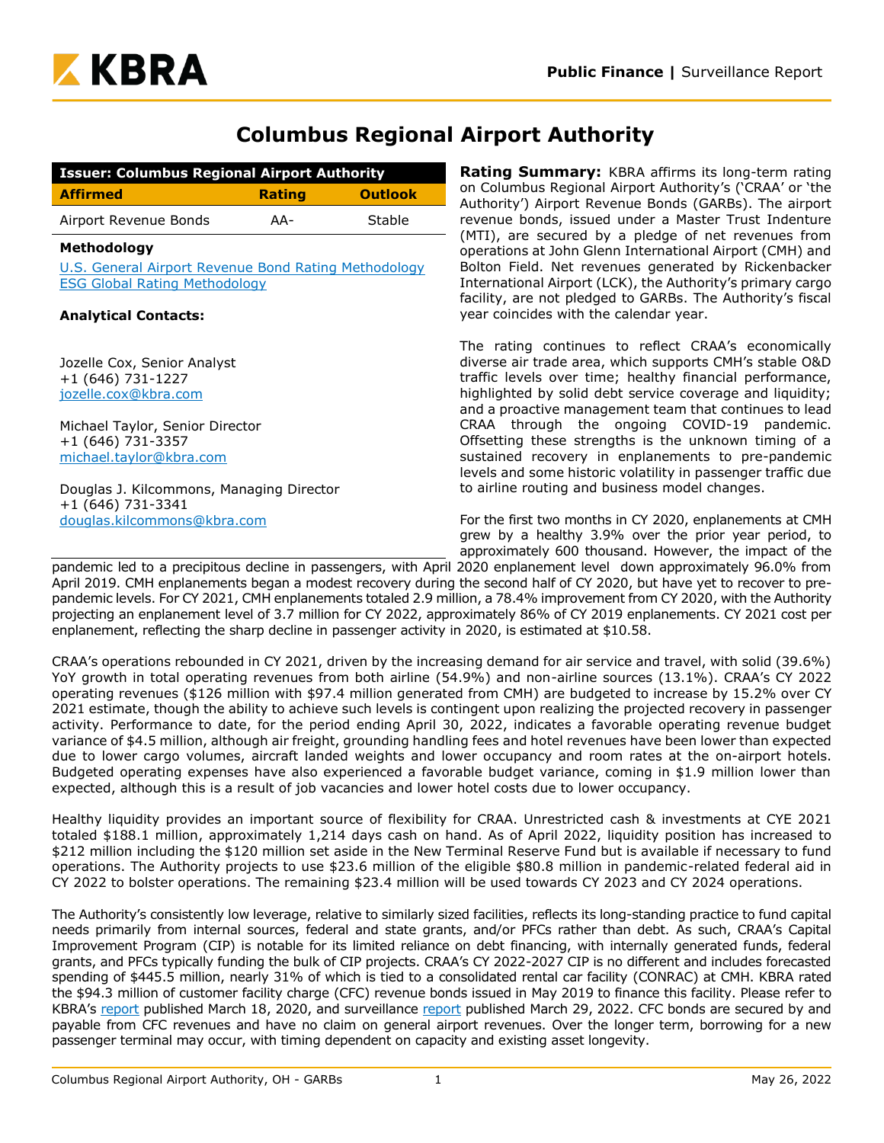

# **Columbus Regional Airport Authority**

| <b>Issuer: Columbus Regional Airport Authority</b> |               |                |  |  |  |
|----------------------------------------------------|---------------|----------------|--|--|--|
| <b>Affirmed</b>                                    | <b>Rating</b> | <b>Outlook</b> |  |  |  |
| Airport Revenue Bonds                              | AA-           | Stable         |  |  |  |

### **Methodology**

[U.S. General Airport Revenue Bond Rating Methodology](https://www.krollbondratings.com/show_report/1174) [ESG Global Rating Methodology](https://www.kbra.com/documents/report/47746/esg-global-rating-methodology)

### **Analytical Contacts:**

Jozelle Cox, Senior Analyst +1 (646) 731-1227 [jozelle.cox@kbra.com](mailto:jozelle.cox@kbra.com)

Michael Taylor, Senior Director +1 (646) 731-3357 [michael.taylor@kbra.com](mailto:michael.taylor@kbra.com)

Douglas J. Kilcommons, Managing Director +1 (646) 731-3341 [douglas.kilcommons@kbra.com](mailto:douglas.kilcommons@kbra.com)

**Rating Summary:** KBRA affirms its long-term rating on Columbus Regional Airport Authority's ('CRAA' or 'the Authority') Airport Revenue Bonds (GARBs). The airport revenue bonds, issued under a Master Trust Indenture (MTI), are secured by a pledge of net revenues from operations at John Glenn International Airport (CMH) and Bolton Field. Net revenues generated by Rickenbacker International Airport (LCK), the Authority's primary cargo facility, are not pledged to GARBs. The Authority's fiscal year coincides with the calendar year.

The rating continues to reflect CRAA's economically diverse air trade area, which supports CMH's stable O&D traffic levels over time; healthy financial performance, highlighted by solid debt service coverage and liquidity; and a proactive management team that continues to lead CRAA through the ongoing COVID-19 pandemic. Offsetting these strengths is the unknown timing of a sustained recovery in enplanements to pre-pandemic levels and some historic volatility in passenger traffic due to airline routing and business model changes.

For the first two months in CY 2020, enplanements at CMH grew by a healthy 3.9% over the prior year period, to approximately 600 thousand. However, the impact of the

pandemic led to a precipitous decline in passengers, with April 2020 enplanement level down approximately 96.0% from April 2019. CMH enplanements began a modest recovery during the second half of CY 2020, but have yet to recover to prepandemic levels. For CY 2021, CMH enplanements totaled 2.9 million, a 78.4% improvement from CY 2020, with the Authority projecting an enplanement level of 3.7 million for CY 2022, approximately 86% of CY 2019 enplanements. CY 2021 cost per enplanement, reflecting the sharp decline in passenger activity in 2020, is estimated at \$10.58.

CRAA's operations rebounded in CY 2021, driven by the increasing demand for air service and travel, with solid (39.6%) YoY growth in total operating revenues from both airline (54.9%) and non-airline sources (13.1%). CRAA's CY 2022 operating revenues (\$126 million with \$97.4 million generated from CMH) are budgeted to increase by 15.2% over CY 2021 estimate, though the ability to achieve such levels is contingent upon realizing the projected recovery in passenger activity. Performance to date, for the period ending April 30, 2022, indicates a favorable operating revenue budget variance of \$4.5 million, although air freight, grounding handling fees and hotel revenues have been lower than expected due to lower cargo volumes, aircraft landed weights and lower occupancy and room rates at the on-airport hotels. Budgeted operating expenses have also experienced a favorable budget variance, coming in \$1.9 million lower than expected, although this is a result of job vacancies and lower hotel costs due to lower occupancy.

Healthy liquidity provides an important source of flexibility for CRAA. Unrestricted cash & investments at CYE 2021 totaled \$188.1 million, approximately 1,214 days cash on hand. As of April 2022, liquidity position has increased to \$212 million including the \$120 million set aside in the New Terminal Reserve Fund but is available if necessary to fund operations. The Authority projects to use \$23.6 million of the eligible \$80.8 million in pandemic-related federal aid in CY 2022 to bolster operations. The remaining \$23.4 million will be used towards CY 2023 and CY 2024 operations.

The Authority's consistently low leverage, relative to similarly sized facilities, reflects its long-standing practice to fund capital needs primarily from internal sources, federal and state grants, and/or PFCs rather than debt. As such, CRAA's Capital Improvement Program (CIP) is notable for its limited reliance on debt financing, with internally generated funds, federal grants, and PFCs typically funding the bulk of CIP projects. CRAA's CY 2022-2027 CIP is no different and includes forecasted spending of \$445.5 million, nearly 31% of which is tied to a consolidated rental car facility (CONRAC) at CMH. KBRA rated the \$94.3 million of customer facility charge (CFC) revenue bonds issued in May 2019 to finance this facility. Please refer to KBRA's [report](https://www.krollbondratings.com/documents/report/32003/public-finance-columbus-regional-airport-authority-surveillance-report) published March 18, 2020, and surveillance [report](https://www.kbra.com/documents/report/64835/columbus-regional-airport-authority-customer-facility-charge-revenue-bonds-series-2019-surveillance-report) published March 29, 2022. CFC bonds are secured by and payable from CFC revenues and have no claim on general airport revenues. Over the longer term, borrowing for a new passenger terminal may occur, with timing dependent on capacity and existing asset longevity.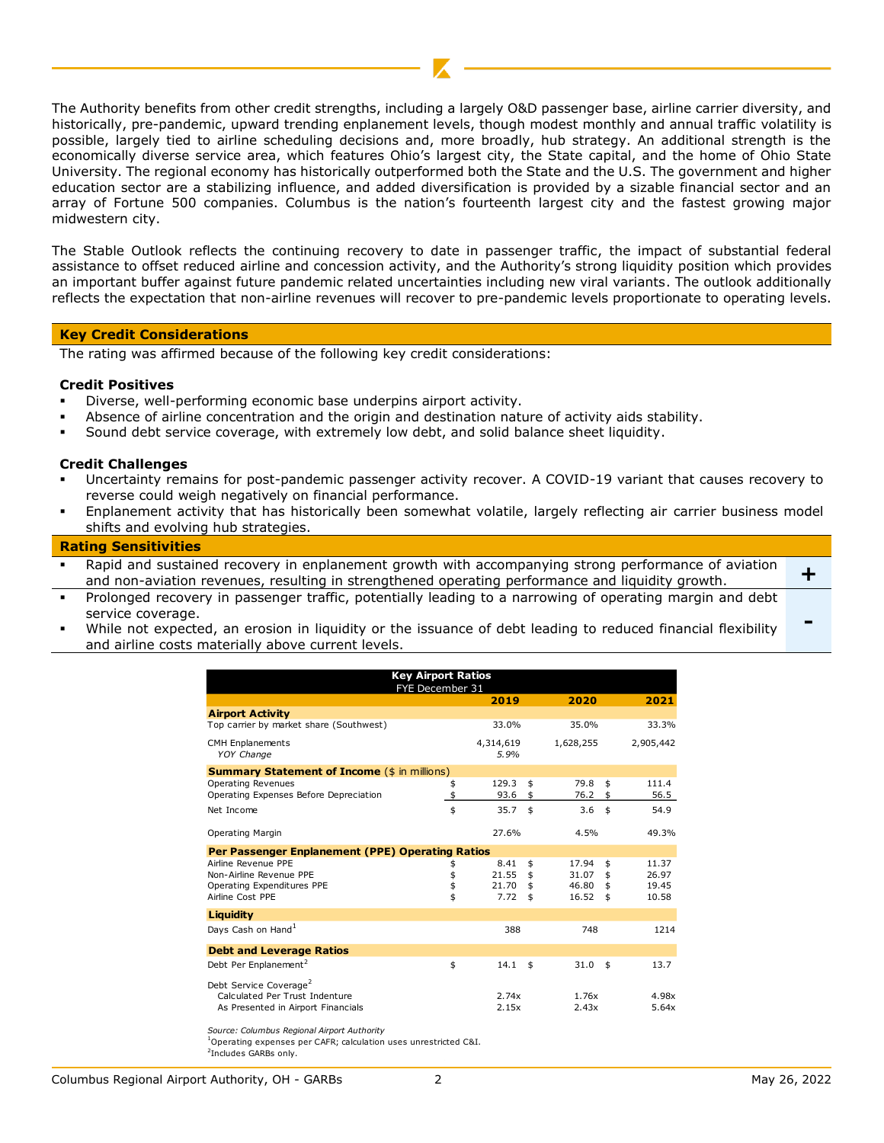The Authority benefits from other credit strengths, including a largely O&D passenger base, airline carrier diversity, and historically, pre-pandemic, upward trending enplanement levels, though modest monthly and annual traffic volatility is possible, largely tied to airline scheduling decisions and, more broadly, hub strategy. An additional strength is the economically diverse service area, which features Ohio's largest city, the State capital, and the home of Ohio State University. The regional economy has historically outperformed both the State and the U.S. The government and higher education sector are a stabilizing influence, and added diversification is provided by a sizable financial sector and an array of Fortune 500 companies. Columbus is the nation's fourteenth largest city and the fastest growing major midwestern city.

The Stable Outlook reflects the continuing recovery to date in passenger traffic, the impact of substantial federal assistance to offset reduced airline and concession activity, and the Authority's strong liquidity position which provides an important buffer against future pandemic related uncertainties including new viral variants. The outlook additionally reflects the expectation that non-airline revenues will recover to pre-pandemic levels proportionate to operating levels.

#### **Key Credit Considerations**

The rating was affirmed because of the following key credit considerations:

### **Credit Positives**

- Diverse, well-performing economic base underpins airport activity.
- Absence of airline concentration and the origin and destination nature of activity aids stability.
- Sound debt service coverage, with extremely low debt, and solid balance sheet liquidity.

### **Credit Challenges**

- Uncertainty remains for post-pandemic passenger activity recover. A COVID-19 variant that causes recovery to reverse could weigh negatively on financial performance.
- Enplanement activity that has historically been somewhat volatile, largely reflecting air carrier business model shifts and evolving hub strategies.

#### **Rating Sensitivities**

- Rapid and sustained recovery in enplanement growth with accompanying strong performance of aviation and non-aviation revenues, resulting in strengthened operating performance and liquidity growth. **+**
- Prolonged recovery in passenger traffic, potentially leading to a narrowing of operating margin and debt service coverage.
- While not expected, an erosion in liquidity or the issuance of debt leading to reduced financial flexibility and airline costs materially above current levels.

|                                                     | <b>Key Airport Ratios</b><br>FYE December 31 |                   |             |             |
|-----------------------------------------------------|----------------------------------------------|-------------------|-------------|-------------|
|                                                     |                                              | 2019              | 2020        | 2021        |
| <b>Airport Activity</b>                             |                                              |                   |             |             |
| Top carrier by market share (Southwest)             |                                              | 33.0%             | 35.0%       | 33.3%       |
| <b>CMH</b> Enplanements<br><b>YOY Change</b>        |                                              | 4,314,619<br>5.9% | 1,628,255   | 2,905,442   |
| <b>Summary Statement of Income (\$ in millions)</b> |                                              |                   |             |             |
| <b>Operating Revenues</b>                           | \$                                           | 129.3             | \$<br>79.8  | \$<br>111.4 |
| Operating Expenses Before Depreciation              | \$                                           | 93.6              | \$<br>76.2  | \$<br>56.5  |
| Net Income                                          | \$                                           | 35.7              | \$<br>3.6   | \$<br>54.9  |
| Operating Margin                                    |                                              | 27.6%             | 4.5%        | 49.3%       |
| Per Passenger Enplanement (PPE) Operating Ratios    |                                              |                   |             |             |
| Airline Revenue PPE                                 | \$                                           | 8.41              | \$<br>17.94 | \$<br>11.37 |
| Non-Airline Revenue PPE                             | \$                                           | 21.55             | \$<br>31.07 | \$<br>26.97 |
| Operating Expenditures PPE                          | \$                                           | 21.70             | \$<br>46.80 | \$<br>19.45 |
| Airline Cost PPE                                    | \$                                           | 7.72              | \$<br>16.52 | \$<br>10.58 |
| Liquidity                                           |                                              |                   |             |             |
| Days Cash on Hand <sup>1</sup>                      |                                              | 388               | 748         | 1214        |
| <b>Debt and Leverage Ratios</b>                     |                                              |                   |             |             |
| Debt Per Enplanement <sup>2</sup>                   | \$                                           | 14.1              | \$<br>31.0  | \$<br>13.7  |
| Debt Service Coverage <sup>2</sup>                  |                                              |                   |             |             |
| Calculated Per Trust Indenture                      |                                              | 2.74x             | 1.76x       | 4.98x       |
| As Presented in Airport Financials                  |                                              | 2.15x             | 2.43x       | 5.64x       |

*Source: Columbus Regional Airport Authority*

**-**

 $^{\rm 1}$ Operating expenses per CAFR; calculation uses unrestricted C&I.

<sup>&</sup>lt;sup>2</sup>Includes GARBs only.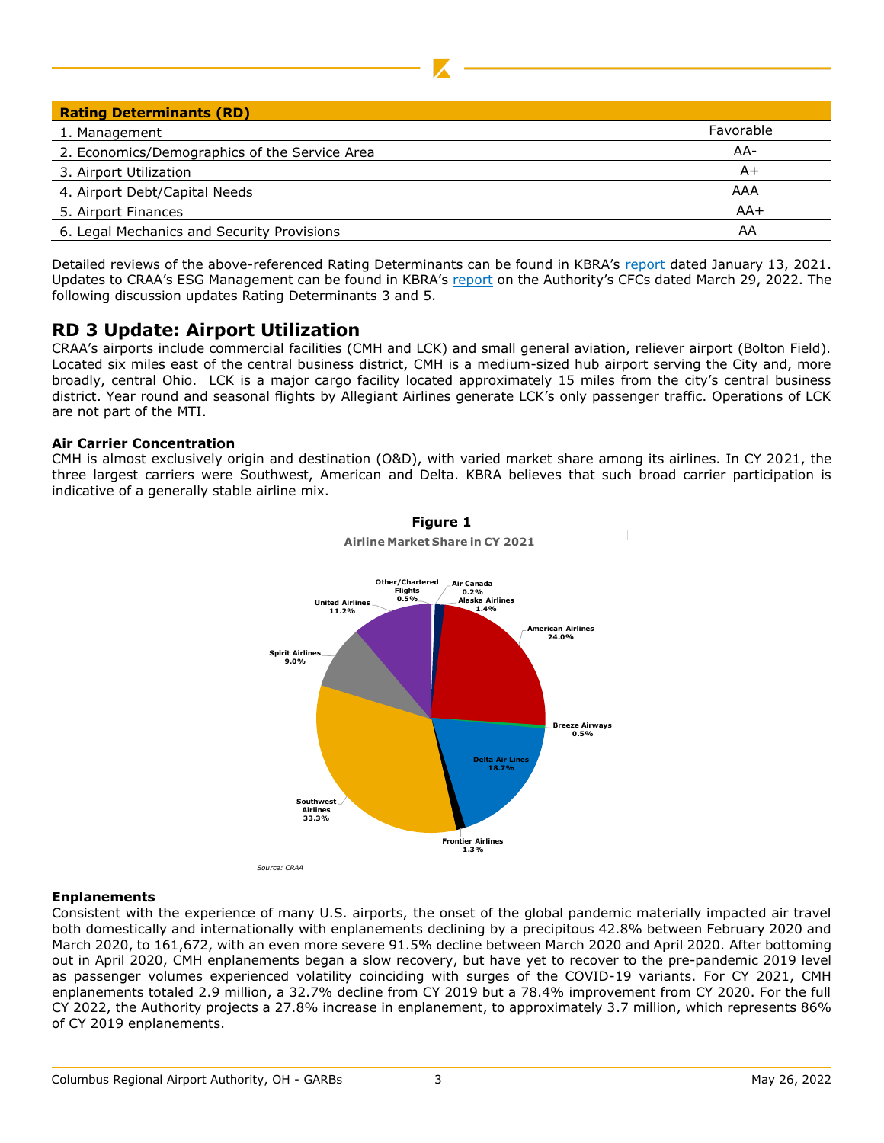| <b>Rating Determinants (RD)</b>               |           |
|-----------------------------------------------|-----------|
|                                               |           |
| 1. Management                                 | Favorable |
| 2. Economics/Demographics of the Service Area | AA-       |
| 3. Airport Utilization                        | A+        |
| 4. Airport Debt/Capital Needs                 | AAA       |
| 5. Airport Finances                           | $AA+$     |
| 6. Legal Mechanics and Security Provisions    | AA        |

Detailed reviews of the above-referenced Rating Determinants can be found in KBRA's [report](https://www.kbra.com/documents/report/43550/columbus-regional-airport-authority-surveillance-report) dated January 13, 2021. Updates to CRAA's ESG Management can be found in KBRA's [report](https://www.kbra.com/documents/report/64835/columbus-regional-airport-authority-customer-facility-charge-revenue-bonds-series-2019-surveillance-report) on the Authority's CFCs dated March 29, 2022. The following discussion updates Rating Determinants 3 and 5.

## **RD 3 Update: Airport Utilization**

CRAA's airports include commercial facilities (CMH and LCK) and small general aviation, reliever airport (Bolton Field). Located six miles east of the central business district, CMH is a medium-sized hub airport serving the City and, more broadly, central Ohio. LCK is a major cargo facility located approximately 15 miles from the city's central business district. Year round and seasonal flights by Allegiant Airlines generate LCK's only passenger traffic. Operations of LCK are not part of the MTI.

### **Air Carrier Concentration**

CMH is almost exclusively origin and destination (O&D), with varied market share among its airlines. In CY 2021, the three largest carriers were Southwest, American and Delta. KBRA believes that such broad carrier participation is indicative of a generally stable airline mix.



### **Enplanements**

Consistent with the experience of many U.S. airports, the onset of the global pandemic materially impacted air travel both domestically and internationally with enplanements declining by a precipitous 42.8% between February 2020 and March 2020, to 161,672, with an even more severe 91.5% decline between March 2020 and April 2020. After bottoming out in April 2020, CMH enplanements began a slow recovery, but have yet to recover to the pre-pandemic 2019 level as passenger volumes experienced volatility coinciding with surges of the COVID-19 variants. For CY 2021, CMH enplanements totaled 2.9 million, a 32.7% decline from CY 2019 but a 78.4% improvement from CY 2020. For the full CY 2022, the Authority projects a 27.8% increase in enplanement, to approximately 3.7 million, which represents 86% of CY 2019 enplanements.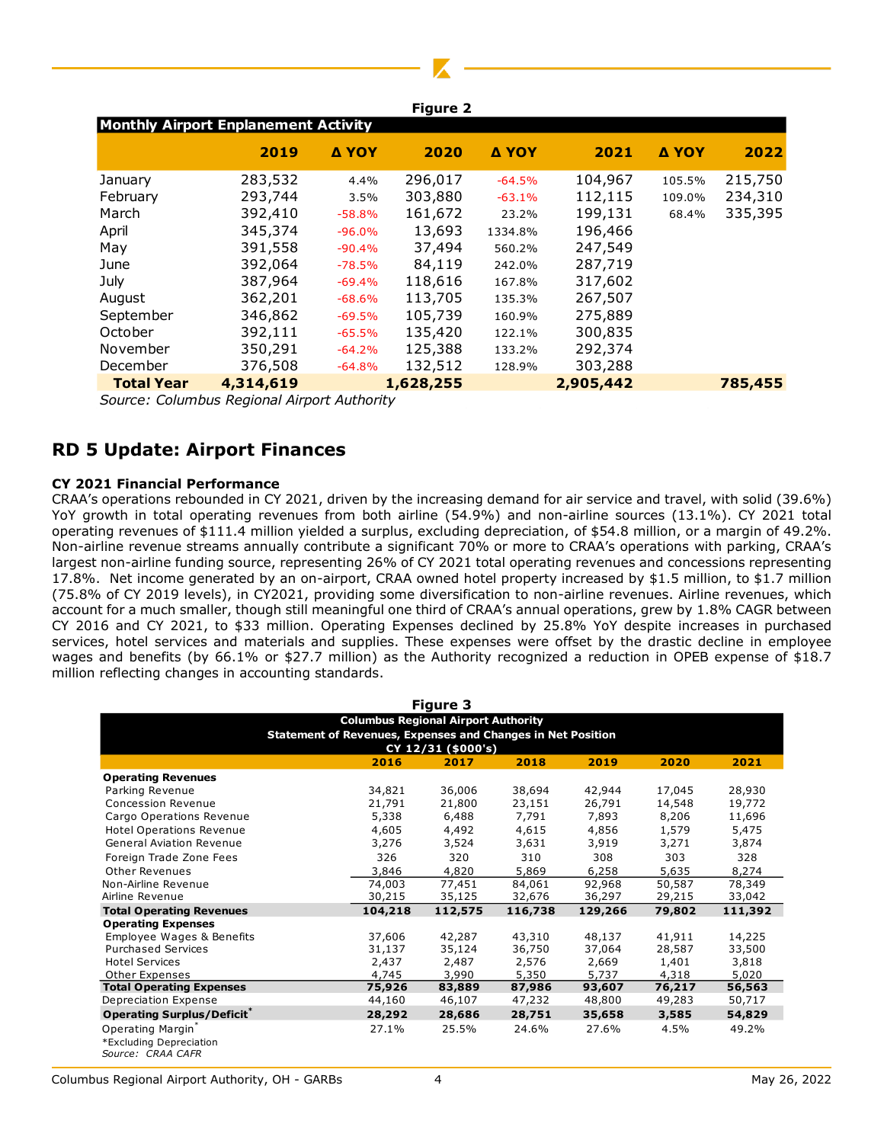|                                             |           |          | <b>Figure 2</b> |          |           |              |         |
|---------------------------------------------|-----------|----------|-----------------|----------|-----------|--------------|---------|
| <b>Monthly Airport Enplanement Activity</b> |           |          |                 |          |           |              |         |
|                                             | 2019      | Δ ΥΟΥ    | 2020            | Δ ΥΟΥ    | 2021      | <b>A YOY</b> | 2022    |
| January                                     | 283,532   | 4.4%     | 296,017         | $-64.5%$ | 104,967   | 105.5%       | 215,750 |
| February                                    | 293,744   | 3.5%     | 303,880         | $-63.1%$ | 112,115   | 109.0%       | 234,310 |
| March                                       | 392,410   | $-58.8%$ | 161,672         | 23.2%    | 199,131   | 68.4%        | 335,395 |
| April                                       | 345,374   | $-96.0%$ | 13,693          | 1334.8%  | 196,466   |              |         |
| May                                         | 391,558   | $-90.4%$ | 37,494          | 560.2%   | 247,549   |              |         |
| June                                        | 392,064   | $-78.5%$ | 84,119          | 242.0%   | 287,719   |              |         |
| July                                        | 387,964   | $-69.4%$ | 118,616         | 167.8%   | 317,602   |              |         |
| August                                      | 362,201   | $-68.6%$ | 113,705         | 135.3%   | 267,507   |              |         |
| September                                   | 346,862   | $-69.5%$ | 105,739         | 160.9%   | 275,889   |              |         |
| October                                     | 392,111   | $-65.5%$ | 135,420         | 122.1%   | 300,835   |              |         |
| November                                    | 350,291   | $-64.2%$ | 125,388         | 133.2%   | 292,374   |              |         |
| December                                    | 376,508   | $-64.8%$ | 132,512         | 128.9%   | 303,288   |              |         |
| <b>Total Year</b>                           | 4,314,619 |          | 1,628,255       |          | 2,905,442 |              | 785,455 |

*Source: Columbus Regional Airport Authority*

## **RD 5 Update: Airport Finances**

### **CY 2021 Financial Performance**

CRAA's operations rebounded in CY 2021, driven by the increasing demand for air service and travel, with solid (39.6%) YoY growth in total operating revenues from both airline (54.9%) and non-airline sources (13.1%). CY 2021 total operating revenues of \$111.4 million yielded a surplus, excluding depreciation, of \$54.8 million, or a margin of 49.2%. Non-airline revenue streams annually contribute a significant 70% or more to CRAA's operations with parking, CRAA's largest non-airline funding source, representing 26% of CY 2021 total operating revenues and concessions representing 17.8%. Net income generated by an on-airport, CRAA owned hotel property increased by \$1.5 million, to \$1.7 million (75.8% of CY 2019 levels), in CY2021, providing some diversification to non-airline revenues. Airline revenues, which account for a much smaller, though still meaningful one third of CRAA's annual operations, grew by 1.8% CAGR between CY 2016 and CY 2021, to \$33 million. Operating Expenses declined by 25.8% YoY despite increases in purchased services, hotel services and materials and supplies. These expenses were offset by the drastic decline in employee wages and benefits (by 66.1% or \$27.7 million) as the Authority recognized a reduction in OPEB expense of \$18.7 million reflecting changes in accounting standards.

|                                              |                                                                    | Figure 3           |         |         |        |         |
|----------------------------------------------|--------------------------------------------------------------------|--------------------|---------|---------|--------|---------|
|                                              | <b>Columbus Regional Airport Authority</b>                         |                    |         |         |        |         |
|                                              | <b>Statement of Revenues, Expenses and Changes in Net Position</b> |                    |         |         |        |         |
|                                              |                                                                    | CY 12/31 (\$000's) |         |         |        |         |
|                                              | 2016                                                               | 2017               | 2018    | 2019    | 2020   | 2021    |
| <b>Operating Revenues</b>                    |                                                                    |                    |         |         |        |         |
| Parking Revenue                              | 34,821                                                             | 36,006             | 38,694  | 42,944  | 17,045 | 28,930  |
| Concession Revenue                           | 21,791                                                             | 21,800             | 23,151  | 26,791  | 14,548 | 19,772  |
| Cargo Operations Revenue                     | 5,338                                                              | 6,488              | 7,791   | 7,893   | 8,206  | 11,696  |
| <b>Hotel Operations Revenue</b>              | 4,605                                                              | 4,492              | 4,615   | 4,856   | 1,579  | 5,475   |
| <b>General Aviation Revenue</b>              | 3,276                                                              | 3,524              | 3,631   | 3,919   | 3,271  | 3,874   |
| Foreign Trade Zone Fees                      | 326                                                                | 320                | 310     | 308     | 303    | 328     |
| Other Revenues                               | 3,846                                                              | 4,820              | 5,869   | 6,258   | 5,635  | 8,274   |
| Non-Airline Revenue                          | 74,003                                                             | 77,451             | 84,061  | 92,968  | 50,587 | 78,349  |
| Airline Revenue                              | 30,215                                                             | 35,125             | 32,676  | 36,297  | 29,215 | 33,042  |
| <b>Total Operating Revenues</b>              | 104,218                                                            | 112,575            | 116,738 | 129,266 | 79,802 | 111,392 |
| <b>Operating Expenses</b>                    |                                                                    |                    |         |         |        |         |
| Employee Wages & Benefits                    | 37,606                                                             | 42,287             | 43,310  | 48,137  | 41,911 | 14,225  |
| <b>Purchased Services</b>                    | 31,137                                                             | 35,124             | 36,750  | 37,064  | 28,587 | 33,500  |
| <b>Hotel Services</b>                        | 2,437                                                              | 2,487              | 2,576   | 2,669   | 1,401  | 3,818   |
| <b>Other Expenses</b>                        | 4,745                                                              | 3,990              | 5,350   | 5,737   | 4,318  | 5,020   |
| <b>Total Operating Expenses</b>              | 75,926                                                             | 83,889             | 87,986  | 93,607  | 76,217 | 56,563  |
| Depreciation Expense                         | 44,160                                                             | 46,107             | 47,232  | 48,800  | 49,283 | 50,717  |
| <b>Operating Surplus/Deficit<sup>®</sup></b> | 28,292                                                             | 28,686             | 28,751  | 35,658  | 3,585  | 54,829  |
| Operating Margin*                            | 27.1%                                                              | 25.5%              | 24.6%   | 27.6%   | 4.5%   | 49.2%   |
| *Excluding Depreciation                      |                                                                    |                    |         |         |        |         |
| Source: CRAA CAFR                            |                                                                    |                    |         |         |        |         |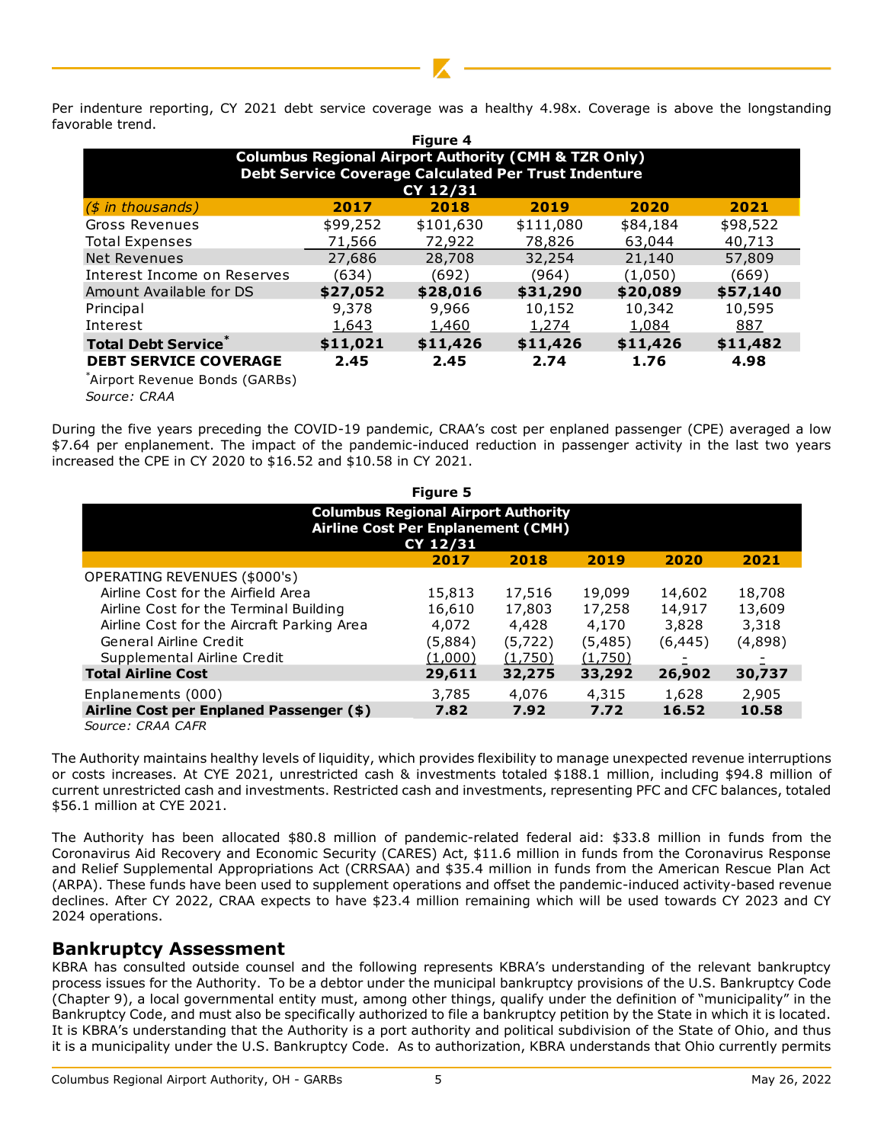Per indenture reporting, CY 2021 debt service coverage was a healthy 4.98x. Coverage is above the longstanding favorable trend.

|                                        |          | <b>Figure 4</b>                                                 |              |          |          |
|----------------------------------------|----------|-----------------------------------------------------------------|--------------|----------|----------|
|                                        |          | <b>Columbus Regional Airport Authority (CMH &amp; TZR Only)</b> |              |          |          |
|                                        |          | <b>Debt Service Coverage Calculated Per Trust Indenture</b>     |              |          |          |
|                                        |          | CY 12/31                                                        |              |          |          |
| $(s$ in thousands)                     | 2017     | 2018                                                            | 2019         | 2020     | 2021     |
| <b>Gross Revenues</b>                  | \$99,252 | \$101,630                                                       | \$111,080    | \$84,184 | \$98,522 |
| <b>Total Expenses</b>                  | 71,566   | 72,922                                                          | 78,826       | 63,044   | 40,713   |
| Net Revenues                           | 27,686   | 28,708                                                          | 32,254       | 21,140   | 57,809   |
| Interest Income on Reserves            | (634)    | (692)                                                           | (964)        | (1,050)  | (669)    |
| Amount Available for DS                | \$27,052 | \$28,016                                                        | \$31,290     | \$20,089 | \$57,140 |
| Principal                              | 9,378    | 9,966                                                           | 10,152       | 10,342   | 10,595   |
| Interest                               | 1,643    | 1,460                                                           | <u>1,274</u> | 1,084    | 887      |
| <b>Total Debt Service</b> <sup>®</sup> | \$11,021 | \$11,426                                                        | \$11,426     | \$11,426 | \$11,482 |
| <b>DEBT SERVICE COVERAGE</b>           | 2.45     | 2.45                                                            | 2.74         | 1.76     | 4.98     |
| $*$ Airport Dovanua Ponde (CADRe)      |          |                                                                 |              |          |          |

|                                                                                                                                                                                                                                                                                                                                                                                                              |          | CY 12/31                                   | Debt Service Coverage Calculated Per Trust Indenture |          |          |          |
|--------------------------------------------------------------------------------------------------------------------------------------------------------------------------------------------------------------------------------------------------------------------------------------------------------------------------------------------------------------------------------------------------------------|----------|--------------------------------------------|------------------------------------------------------|----------|----------|----------|
| $(s$ in thousands)                                                                                                                                                                                                                                                                                                                                                                                           | 2017     | 2018                                       | 2019                                                 |          | 2020     | 2021     |
| <b>Gross Revenues</b>                                                                                                                                                                                                                                                                                                                                                                                        | \$99,252 | \$101,630                                  | \$111,080                                            |          | \$84,184 | \$98,522 |
| <b>Total Expenses</b>                                                                                                                                                                                                                                                                                                                                                                                        | 71,566   | 72,922                                     | 78,826                                               |          | 63,044   | 40,713   |
| <b>Net Revenues</b>                                                                                                                                                                                                                                                                                                                                                                                          | 27,686   | 28,708                                     | 32,254                                               |          | 21,140   | 57,809   |
| Interest Income on Reserves                                                                                                                                                                                                                                                                                                                                                                                  | (634)    | (692)                                      | (964)                                                |          | (1,050)  | (669)    |
| Amount Available for DS                                                                                                                                                                                                                                                                                                                                                                                      | \$27,052 | \$28,016                                   | \$31,290                                             |          | \$20,089 | \$57,140 |
| Principal                                                                                                                                                                                                                                                                                                                                                                                                    | 9,378    | 9,966                                      | 10,152                                               |          | 10,342   | 10,595   |
| Interest                                                                                                                                                                                                                                                                                                                                                                                                     | 1,643    | 1,460                                      | 1,274                                                |          | 1,084    | 887      |
| <b>Total Debt Service</b> *                                                                                                                                                                                                                                                                                                                                                                                  | \$11,021 | \$11,426                                   | \$11,426                                             |          | \$11,426 | \$11,482 |
| <b>DEBT SERVICE COVERAGE</b><br>*Airport Revenue Bonds (GARBs)<br>Source: CRAA                                                                                                                                                                                                                                                                                                                               | 2.45     | 2.45                                       | 2.74                                                 |          | 1.76     | 4.98     |
| During the five years preceding the COVID-19 pandemic, CRAA's cost per enplaned passenger (CPE) averaged a low<br>\$7.64 per enplanement. The impact of the pandemic-induced reduction in passenger activity in the last two years                                                                                                                                                                           |          |                                            |                                                      |          |          |          |
| increased the CPE in CY 2020 to \$16.52 and \$10.58 in CY 2021.                                                                                                                                                                                                                                                                                                                                              |          |                                            |                                                      |          |          |          |
|                                                                                                                                                                                                                                                                                                                                                                                                              |          | Figure 5                                   |                                                      |          |          |          |
|                                                                                                                                                                                                                                                                                                                                                                                                              |          | <b>Columbus Regional Airport Authority</b> |                                                      |          |          |          |
|                                                                                                                                                                                                                                                                                                                                                                                                              |          | <b>Airline Cost Per Enplanement (CMH)</b>  |                                                      |          |          |          |
|                                                                                                                                                                                                                                                                                                                                                                                                              |          | CY 12/31<br>2017                           | 2018                                                 | 2019     | 2020     | 2021     |
| OPERATING REVENUES (\$000's)                                                                                                                                                                                                                                                                                                                                                                                 |          |                                            |                                                      |          |          |          |
| Airline Cost for the Airfield Area                                                                                                                                                                                                                                                                                                                                                                           |          | 15,813                                     | 17,516                                               | 19,099   | 14,602   | 18,708   |
| Airline Cost for the Terminal Building                                                                                                                                                                                                                                                                                                                                                                       |          | 16,610                                     | 17,803                                               | 17,258   | 14,917   | 13,609   |
| Airline Cost for the Aircraft Parking Area                                                                                                                                                                                                                                                                                                                                                                   |          | 4,072                                      | 4,428                                                | 4,170    | 3,828    | 3,318    |
| General Airline Credit                                                                                                                                                                                                                                                                                                                                                                                       |          | (5,884)                                    | (5, 722)                                             | (5, 485) | (6, 445) | (4,898)  |
| Supplemental Airline Credit                                                                                                                                                                                                                                                                                                                                                                                  |          | (1,000)                                    | (1,750)                                              | (1,750)  |          |          |
| <b>Total Airline Cost</b>                                                                                                                                                                                                                                                                                                                                                                                    |          | 29,611                                     | 32,275                                               | 33,292   | 26,902   | 30,737   |
| Enplanements (000)                                                                                                                                                                                                                                                                                                                                                                                           |          | 3,785                                      | 4,076                                                | 4,315    | 1,628    | 2,905    |
|                                                                                                                                                                                                                                                                                                                                                                                                              |          | 7.82                                       | 7.92                                                 | 7.72     | 16.52    | 10.58    |
|                                                                                                                                                                                                                                                                                                                                                                                                              |          |                                            |                                                      |          |          |          |
| Airline Cost per Enplaned Passenger (\$)<br>Source: CRAA CAFR                                                                                                                                                                                                                                                                                                                                                |          |                                            |                                                      |          |          |          |
|                                                                                                                                                                                                                                                                                                                                                                                                              |          |                                            |                                                      |          |          |          |
| The Authority maintains healthy levels of liquidity, which provides flexibility to manage unexpected revenue interruptions<br>or costs increases. At CYE 2021, unrestricted cash & investments totaled \$188.1 million, including \$94.8 million of<br>current unrestricted cash and investments. Restricted cash and investments, representing PFC and CFC balances, totaled<br>\$56.1 million at CYE 2021. |          |                                            |                                                      |          |          |          |
| The Authority has been allocated \$80.8 million of pandemic-related federal aid: \$33.8 million in funds from the<br>Coronavirus Aid Recovery and Economic Security (CARES) Act, \$11.6 million in funds from the Coronavirus Response                                                                                                                                                                       |          |                                            |                                                      |          |          |          |
| and Relief Supplemental Appropriations Act (CRRSAA) and \$35.4 million in funds from the American Rescue Plan Act                                                                                                                                                                                                                                                                                            |          |                                            |                                                      |          |          |          |
| (ARPA). These funds have been used to supplement operations and offset the pandemic-induced activity-based revenue<br>declines. After CY 2022, CRAA expects to have \$23.4 million remaining which will be used towards CY 2023 and CY                                                                                                                                                                       |          |                                            |                                                      |          |          |          |

## **Bankruptcy Assessment**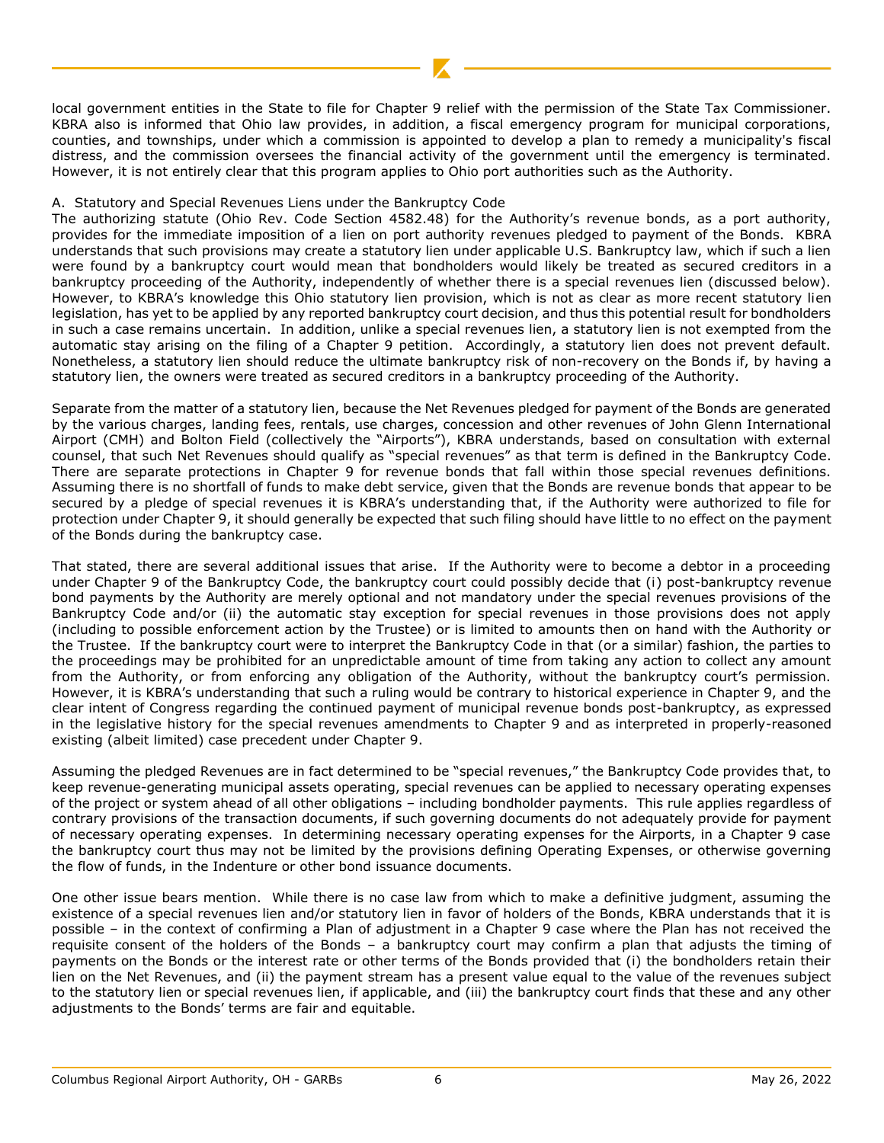local government entities in the State to file for Chapter 9 relief with the permission of the State Tax Commissioner. KBRA also is informed that Ohio law provides, in addition, a fiscal emergency program for municipal corporations, counties, and townships, under which a commission is appointed to develop a plan to remedy a municipality's fiscal distress, and the commission oversees the financial activity of the government until the emergency is terminated. However, it is not entirely clear that this program applies to Ohio port authorities such as the Authority.

### A. Statutory and Special Revenues Liens under the Bankruptcy Code

The authorizing statute (Ohio Rev. Code Section 4582.48) for the Authority's revenue bonds, as a port authority, provides for the immediate imposition of a lien on port authority revenues pledged to payment of the Bonds. KBRA understands that such provisions may create a statutory lien under applicable U.S. Bankruptcy law, which if such a lien were found by a bankruptcy court would mean that bondholders would likely be treated as secured creditors in a bankruptcy proceeding of the Authority, independently of whether there is a special revenues lien (discussed below). However, to KBRA's knowledge this Ohio statutory lien provision, which is not as clear as more recent statutory lien legislation, has yet to be applied by any reported bankruptcy court decision, and thus this potential result for bondholders in such a case remains uncertain. In addition, unlike a special revenues lien, a statutory lien is not exempted from the automatic stay arising on the filing of a Chapter 9 petition. Accordingly, a statutory lien does not prevent default. Nonetheless, a statutory lien should reduce the ultimate bankruptcy risk of non-recovery on the Bonds if, by having a statutory lien, the owners were treated as secured creditors in a bankruptcy proceeding of the Authority.

Separate from the matter of a statutory lien, because the Net Revenues pledged for payment of the Bonds are generated by the various charges, landing fees, rentals, use charges, concession and other revenues of John Glenn International Airport (CMH) and Bolton Field (collectively the "Airports"), KBRA understands, based on consultation with external counsel, that such Net Revenues should qualify as "special revenues" as that term is defined in the Bankruptcy Code. There are separate protections in Chapter 9 for revenue bonds that fall within those special revenues definitions. Assuming there is no shortfall of funds to make debt service, given that the Bonds are revenue bonds that appear to be secured by a pledge of special revenues it is KBRA's understanding that, if the Authority were authorized to file for protection under Chapter 9, it should generally be expected that such filing should have little to no effect on the payment of the Bonds during the bankruptcy case.

That stated, there are several additional issues that arise. If the Authority were to become a debtor in a proceeding under Chapter 9 of the Bankruptcy Code, the bankruptcy court could possibly decide that (i) post-bankruptcy revenue bond payments by the Authority are merely optional and not mandatory under the special revenues provisions of the Bankruptcy Code and/or (ii) the automatic stay exception for special revenues in those provisions does not apply (including to possible enforcement action by the Trustee) or is limited to amounts then on hand with the Authority or the Trustee. If the bankruptcy court were to interpret the Bankruptcy Code in that (or a similar) fashion, the parties to the proceedings may be prohibited for an unpredictable amount of time from taking any action to collect any amount from the Authority, or from enforcing any obligation of the Authority, without the bankruptcy court's permission. However, it is KBRA's understanding that such a ruling would be contrary to historical experience in Chapter 9, and the clear intent of Congress regarding the continued payment of municipal revenue bonds post-bankruptcy, as expressed in the legislative history for the special revenues amendments to Chapter 9 and as interpreted in properly-reasoned existing (albeit limited) case precedent under Chapter 9.

Assuming the pledged Revenues are in fact determined to be "special revenues," the Bankruptcy Code provides that, to keep revenue-generating municipal assets operating, special revenues can be applied to necessary operating expenses of the project or system ahead of all other obligations – including bondholder payments. This rule applies regardless of contrary provisions of the transaction documents, if such governing documents do not adequately provide for payment of necessary operating expenses. In determining necessary operating expenses for the Airports, in a Chapter 9 case the bankruptcy court thus may not be limited by the provisions defining Operating Expenses, or otherwise governing the flow of funds, in the Indenture or other bond issuance documents.

One other issue bears mention. While there is no case law from which to make a definitive judgment, assuming the existence of a special revenues lien and/or statutory lien in favor of holders of the Bonds, KBRA understands that it is possible – in the context of confirming a Plan of adjustment in a Chapter 9 case where the Plan has not received the requisite consent of the holders of the Bonds – a bankruptcy court may confirm a plan that adjusts the timing of payments on the Bonds or the interest rate or other terms of the Bonds provided that (i) the bondholders retain their lien on the Net Revenues, and (ii) the payment stream has a present value equal to the value of the revenues subject to the statutory lien or special revenues lien, if applicable, and (iii) the bankruptcy court finds that these and any other adjustments to the Bonds' terms are fair and equitable.